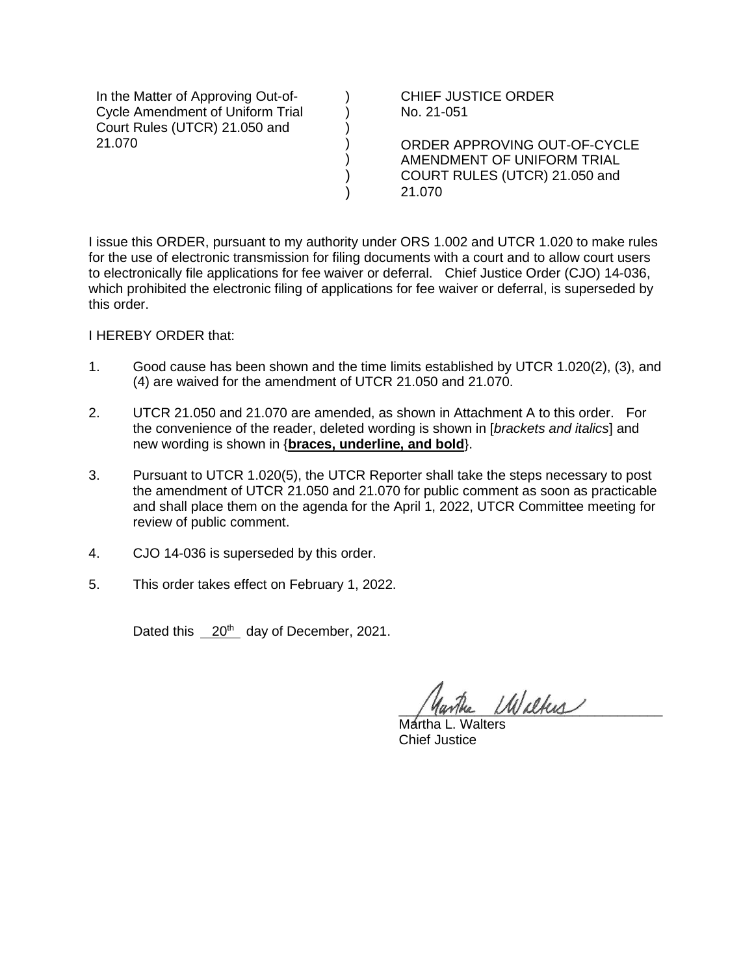In the Matter of Approving Out-of-Cycle Amendment of Uniform Trial Court Rules (UTCR) 21.050 and 21.070

CHIEF JUSTICE ORDER No. 21-051

ORDER APPROVING OUT-OF-CYCLE AMENDMENT OF UNIFORM TRIAL COURT RULES (UTCR) 21.050 and 21.070

I issue this ORDER, pursuant to my authority under ORS 1.002 and UTCR 1.020 to make rules for the use of electronic transmission for filing documents with a court and to allow court users to electronically file applications for fee waiver or deferral. Chief Justice Order (CJO) 14-036, which prohibited the electronic filing of applications for fee waiver or deferral, is superseded by this order.

) ) ) )  $\mathcal{L}$ ) )

I HEREBY ORDER that:

- 1. Good cause has been shown and the time limits established by UTCR 1.020(2), (3), and (4) are waived for the amendment of UTCR 21.050 and 21.070.
- 2. UTCR 21.050 and 21.070 are amended, as shown in Attachment A to this order. For the convenience of the reader, deleted wording is shown in [*brackets and italics*] and new wording is shown in {**braces, underline, and bold**}.
- 3. Pursuant to UTCR 1.020(5), the UTCR Reporter shall take the steps necessary to post the amendment of UTCR 21.050 and 21.070 for public comment as soon as practicable and shall place them on the agenda for the April 1, 2022, UTCR Committee meeting for review of public comment.
- 4. CJO 14-036 is superseded by this order.
- 5. This order takes effect on February 1, 2022.

Dated this 20<sup>th</sup> day of December, 2021.

 $U$ Waltus

Martha L. Walters Chief Justice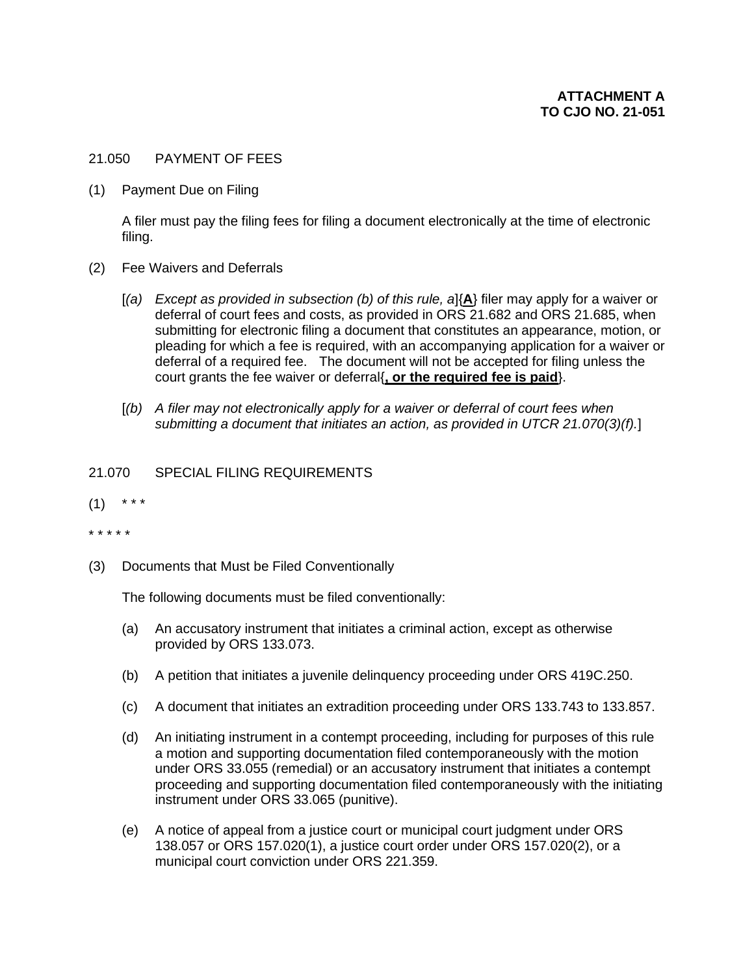## 21.050 PAYMENT OF FEES

(1) Payment Due on Filing

A filer must pay the filing fees for filing a document electronically at the time of electronic filing.

- (2) Fee Waivers and Deferrals
	- [*(a) Except as provided in subsection (b) of this rule, a*]{**A**} filer may apply for a waiver or deferral of court fees and costs, as provided in ORS 21.682 and ORS 21.685, when submitting for electronic filing a document that constitutes an appearance, motion, or pleading for which a fee is required, with an accompanying application for a waiver or deferral of a required fee. The document will not be accepted for filing unless the court grants the fee waiver or deferral{**, or the required fee is paid**}.
	- [*(b) A filer may not electronically apply for a waiver or deferral of court fees when submitting a document that initiates an action, as provided in UTCR 21.070(3)(f).*]

## 21.070 SPECIAL FILING REQUIREMENTS

- $(1)$  \* \* \*
- \* \* \* \* \*
- (3) Documents that Must be Filed Conventionally

The following documents must be filed conventionally:

- (a) An accusatory instrument that initiates a criminal action, except as otherwise provided by ORS 133.073.
- (b) A petition that initiates a juvenile delinquency proceeding under ORS 419C.250.
- (c) A document that initiates an extradition proceeding under ORS 133.743 to 133.857.
- (d) An initiating instrument in a contempt proceeding, including for purposes of this rule a motion and supporting documentation filed contemporaneously with the motion under ORS 33.055 (remedial) or an accusatory instrument that initiates a contempt proceeding and supporting documentation filed contemporaneously with the initiating instrument under ORS 33.065 (punitive).
- (e) A notice of appeal from a justice court or municipal court judgment under ORS 138.057 or ORS 157.020(1), a justice court order under ORS 157.020(2), or a municipal court conviction under ORS 221.359.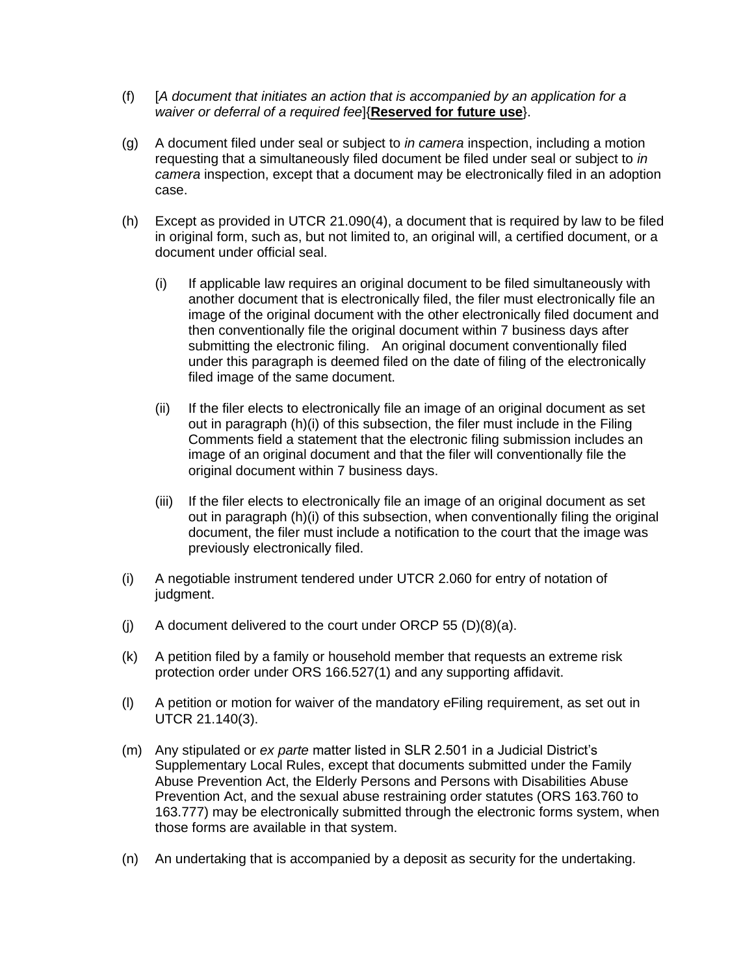- (f) [*A document that initiates an action that is accompanied by an application for a waiver or deferral of a required fee*]{**Reserved for future use**}.
- (g) A document filed under seal or subject to *in camera* inspection, including a motion requesting that a simultaneously filed document be filed under seal or subject to *in camera* inspection, except that a document may be electronically filed in an adoption case.
- (h) Except as provided in UTCR 21.090(4), a document that is required by law to be filed in original form, such as, but not limited to, an original will, a certified document, or a document under official seal.
	- (i) If applicable law requires an original document to be filed simultaneously with another document that is electronically filed, the filer must electronically file an image of the original document with the other electronically filed document and then conventionally file the original document within 7 business days after submitting the electronic filing. An original document conventionally filed under this paragraph is deemed filed on the date of filing of the electronically filed image of the same document.
	- (ii) If the filer elects to electronically file an image of an original document as set out in paragraph (h)(i) of this subsection, the filer must include in the Filing Comments field a statement that the electronic filing submission includes an image of an original document and that the filer will conventionally file the original document within 7 business days.
	- (iii) If the filer elects to electronically file an image of an original document as set out in paragraph (h)(i) of this subsection, when conventionally filing the original document, the filer must include a notification to the court that the image was previously electronically filed.
- (i) A negotiable instrument tendered under UTCR 2.060 for entry of notation of judgment.
- (i) A document delivered to the court under ORCP  $55$  (D)(8)(a).
- (k) A petition filed by a family or household member that requests an extreme risk protection order under ORS 166.527(1) and any supporting affidavit.
- (l) A petition or motion for waiver of the mandatory eFiling requirement, as set out in UTCR 21.140(3).
- (m) Any stipulated or *ex parte* matter listed in SLR 2.501 in a Judicial District's Supplementary Local Rules, except that documents submitted under the Family Abuse Prevention Act, the Elderly Persons and Persons with Disabilities Abuse Prevention Act, and the sexual abuse restraining order statutes (ORS 163.760 to 163.777) may be electronically submitted through the electronic forms system, when those forms are available in that system.
- (n) An undertaking that is accompanied by a deposit as security for the undertaking.